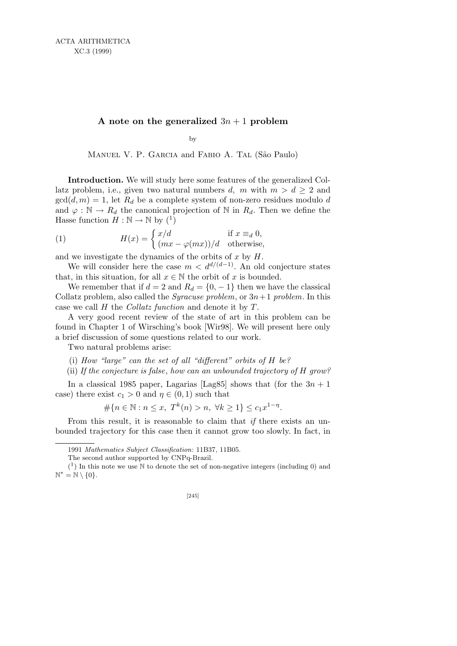## **A** note on the generalized  $3n + 1$  problem

by

MANUEL V. P. GARCIA and FABIO A. TAL (São Paulo)

**Introduction.** We will study here some features of the generalized Collatz problem, i.e., given two natural numbers *d, m* with  $m > d \geq 2$  and  $gcd(d, m) = 1$ , let  $R_d$  be a complete system of non-zero residues modulo *d* and  $\varphi : \mathbb{N} \to R_d$  the canonical projection of  $\mathbb{N}$  in  $R_d$ . Then we define the Hasse function  $H : \mathbb{N} \to \mathbb{N}$  by  $\binom{1}{k}$ 

(1) 
$$
H(x) = \begin{cases} x/d & \text{if } x \equiv_d 0, \\ (mx - \varphi(mx))/d & \text{otherwise,} \end{cases}
$$

and we investigate the dynamics of the orbits of *x* by *H*.

We will consider here the case  $m < d^{d/(d-1)}$ . An old conjecture states that, in this situation, for all  $x \in \mathbb{N}$  the orbit of  $x$  is bounded.

We remember that if  $d = 2$  and  $R_d = \{0, -1\}$  then we have the classical Collatz problem, also called the *Syracuse problem*, or  $3n+1$  *problem*. In this case we call *H* the *Collatz function* and denote it by *T*.

A very good recent review of the state of art in this problem can be found in Chapter 1 of Wirsching's book [Wir98]. We will present here only a brief discussion of some questions related to our work.

Two natural problems arise:

- (i) *How "large" can the set of all "different" orbits of H be?*
- (ii) *If the conjecture is false*, *how can an unbounded trajectory of H grow?*

In a classical 1985 paper, Lagarias [Lag85] shows that (for the  $3n + 1$ case) there exist  $c_1 > 0$  and  $\eta \in (0,1)$  such that

$$
\#\{n \in \mathbb{N} : n \le x, \ T^k(n) > n, \ \forall k \ge 1\} \le c_1 x^{1-\eta}.
$$

From this result, it is reasonable to claim that *if* there exists an unbounded trajectory for this case then it cannot grow too slowly. In fact, in

<sup>1991</sup> *Mathematics Subject Classification*: 11B37, 11B05.

The second author supported by CNPq-Brazil.

 $(1)$  In this note we use N to denote the set of non-negative integers (including 0) and N *<sup>∗</sup>* = N *\ {*0*}*.

<sup>[245]</sup>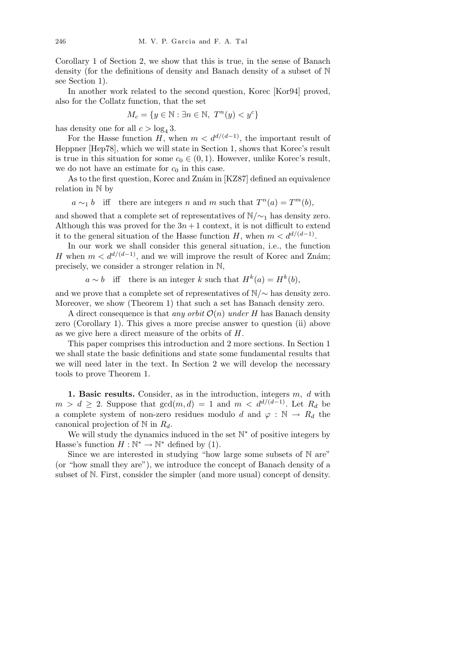Corollary 1 of Section 2, we show that this is true, in the sense of Banach density (for the definitions of density and Banach density of a subset of N see Section 1).

In another work related to the second question, Korec [Kor94] proved, also for the Collatz function, that the set

$$
M_c = \{ y \in \mathbb{N} : \exists n \in \mathbb{N}, \ T^n(y) < y^c \}
$$

has density one for all  $c > \log_4 3$ .

For the Hasse function *H*, when  $m < d^{d/(d-1)}$ , the important result of Heppner [Hep78], which we will state in Section 1, shows that Korec's result is true in this situation for some  $c_0 \in (0, 1)$ . However, unlike Korec's result, we do not have an estimate for  $c_0$  in this case.

As to the first question, Korec and Znám in [KZ87] defined an equivalence relation in N by

 $a \sim_1 b$  iff there are integers *n* and *m* such that  $T^n(a) = T^m(b)$ ,

and showed that a complete set of representatives of  $\mathbb{N}/\sim_1$  has density zero. Although this was proved for the  $3n+1$  context, it is not difficult to extend it to the general situation of the Hasse function *H*, when  $m < d^{d/(d-1)}$ .

In our work we shall consider this general situation, i.e., the function *H* when  $m < d^{d/(d-1)}$ , and we will improve the result of Korec and Znám; precisely, we consider a stronger relation in N,

 $a \sim b$  iff there is an integer *k* such that  $H^k(a) = H^k(b)$ ,

and we prove that a complete set of representatives of  $\mathbb{N}/\sim$  has density zero. Moreover, we show (Theorem 1) that such a set has Banach density zero.

A direct consequence is that *any orbit*  $\mathcal{O}(n)$  *under H* has Banach density zero (Corollary 1). This gives a more precise answer to question (ii) above as we give here a direct measure of the orbits of *H*.

This paper comprises this introduction and 2 more sections. In Section 1 we shall state the basic definitions and state some fundamental results that we will need later in the text. In Section 2 we will develop the necessary tools to prove Theorem 1.

**1. Basic results.** Consider, as in the introduction, integers *m, d* with *m > d* ≥ 2. Suppose that  $gcd(m, d) = 1$  and  $m < d^{d/(d-1)}$ . Let  $R_d$  be a complete system of non-zero residues modulo *d* and  $\varphi : \mathbb{N} \to R_d$  the canonical projection of N in *Rd*.

We will study the dynamics induced in the set  $\mathbb{N}^*$  of positive integers by Hasse's function  $H : \mathbb{N}^* \to \mathbb{N}^*$  defined by (1).

Since we are interested in studying "how large some subsets of N are" (or "how small they are"), we introduce the concept of Banach density of a subset of N. First, consider the simpler (and more usual) concept of density.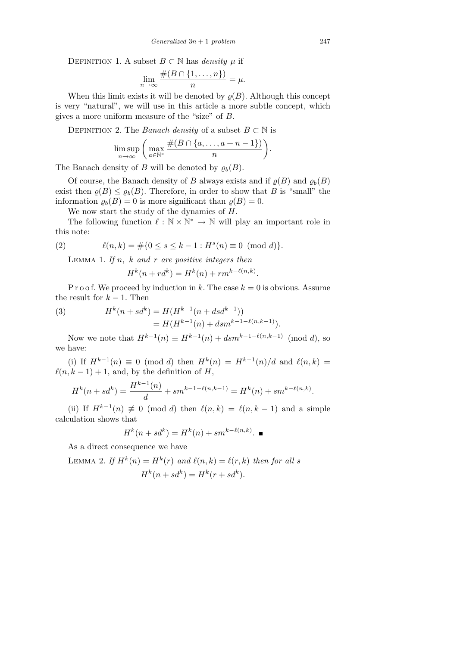DEFINITION 1. A subset  $B \subset \mathbb{N}$  has *density*  $\mu$  if

$$
\lim_{n \to \infty} \frac{\#(B \cap \{1, \dots, n\})}{n} = \mu.
$$

When this limit exists it will be denoted by  $\rho(B)$ . Although this concept is very "natural", we will use in this article a more subtle concept, which gives a more uniform measure of the "size" of *B*.

DEFINITION 2. The *Banach density* of a subset  $B \subset \mathbb{N}$  is

$$
\limsup_{n \to \infty} \left( \max_{a \in \mathbb{N}^*} \frac{\#(B \cap \{a, \dots, a+n-1\})}{n} \right).
$$

The Banach density of *B* will be denoted by  $\rho_b(B)$ .

Of course, the Banach density of *B* always exists and if  $\rho(B)$  and  $\rho_b(B)$ exist then  $\rho(B) \leq \rho_b(B)$ . Therefore, in order to show that *B* is "small" the information  $\rho_b(B) = 0$  is more significant than  $\rho(B) = 0$ .

We now start the study of the dynamics of *H*.

The following function  $\ell : \mathbb{N} \times \mathbb{N}^* \to \mathbb{N}$  will play an important role in this note:

(2) 
$$
\ell(n,k) = \#\{0 \le s \le k-1 : H^s(n) \equiv 0 \pmod{d}\}.
$$

Lemma 1. *If n, k and r are positive integers then*

$$
H^k(n + rd^k) = H^k(n) + rm^{k-\ell(n,k)}.
$$

P r o o f. We proceed by induction in  $k$ . The case  $k = 0$  is obvious. Assume the result for  $k-1$ . Then

(3) 
$$
H^{k}(n+sd^{k}) = H(H^{k-1}(n+dsd^{k-1}))
$$

$$
= H(H^{k-1}(n) + dsm^{k-1-\ell(n,k-1)}).
$$

Now we note that  $H^{k-1}(n) \equiv H^{k-1}(n) + d s m^{k-1-\ell(n,k-1)} \pmod{d}$ , so we have:

(i) If  $H^{k-1}(n) \equiv 0 \pmod{d}$  then  $H^{k}(n) = H^{k-1}(n)/d$  and  $\ell(n, k) =$  $\ell(n, k - 1) + 1$ , and, by the definition of *H*,

$$
H^{k}(n+sd^{k}) = \frac{H^{k-1}(n)}{d} + sm^{k-1-\ell(n,k-1)} = H^{k}(n) + sm^{k-\ell(n,k)}.
$$

(ii) If  $H^{k-1}(n) \not\equiv 0 \pmod{d}$  then  $\ell(n,k) = \ell(n,k-1)$  and a simple calculation shows that

$$
H^k(n + sd^k) = H^k(n) + sm^{k-\ell(n,k)}.
$$

As a direct consequence we have

LEMMA 2. If 
$$
H^k(n) = H^k(r)
$$
 and  $\ell(n, k) = \ell(r, k)$  then for all s  

$$
H^k(n + sd^k) = H^k(r + sd^k).
$$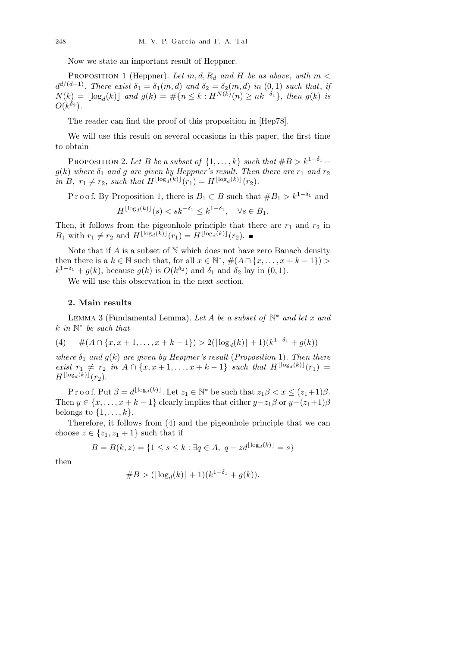Now we state an important result of Heppner.

PROPOSITION 1 (Heppner). Let  $m, d, R_d$  and  $H$  be as above, with  $m <$  $d^{d/(d-1)}$ *. There exist*  $\delta_1 = \delta_1(m, d)$  *and*  $\delta_2 = \delta_2(m, d)$  *in*  $(0, 1)$  *such that, if*  $N(k) = \lfloor \log_d(k) \rfloor$  and  $g(k) = \#\{n \leq k : H^{N(k)}(n) \geq nk^{-\delta_1}\},\$  then  $g(k)$  is  $O(k^{\delta_2})$ .

The reader can find the proof of this proposition in [Hep78].

We will use this result on several occasions in this paper, the first time to obtain

PROPOSITION 2. Let *B* be a subset of  $\{1, \ldots, k\}$  such that  $#B > k^{1-\delta_1} +$  $g(k)$  *where*  $\delta_1$  *and g are given by Heppner's result. Then there are*  $r_1$  *and*  $r_2$ *in B*,  $r_1 \neq r_2$ , *such that*  $H^{\lfloor \log_d(k) \rfloor}(r_1) = H^{\lfloor \log_d(k) \rfloor}(r_2)$ *.* 

P r o o f. By Proposition 1, there is  $B_1 \subset B$  such that  $#B_1 > k^{1-\delta_1}$  and

 $H^{\lfloor \log_d(k) \rfloor}(s) < sk^{-\delta_1} \leq k^{1-\delta_1}, \quad \forall s \in B_1.$ 

Then, it follows from the pigeonhole principle that there are  $r_1$  and  $r_2$  in *B*<sub>1</sub> with  $r_1 \neq r_2$  and  $H^{\lfloor \log_d(k) \rfloor}(r_1) = H^{\lfloor \log_d(k) \rfloor}(r_2)$ .

Note that if *A* is a subset of N which does not have zero Banach density then there is a  $k \in \mathbb{N}$  such that, for all  $x \in \mathbb{N}^*, \#(A \cap \{x, \ldots, x + k - 1\})$  $k^{1-\delta_1} + g(k)$ , because  $g(k)$  is  $O(k^{\delta_2})$  and  $\delta_1$  and  $\delta_2$  lay in  $(0, 1)$ .

We will use this observation in the next section.

## **2. Main results**

Lemma 3 (Fundamental Lemma). *Let A be a subset of* N *∗ and let x and k in* N *∗ be such that*

(4) 
$$
\#(A \cap \{x, x+1, \ldots, x+k-1\}) > 2(\lfloor \log_d(k) \rfloor + 1)(k^{1-\delta_1} + g(k))
$$

*where*  $\delta_1$  *and*  $g(k)$  *are given by Heppner's result* (*Proposition* 1)*. Then there*  $exist \ r_1 \neq r_2 \ \text{in} \ A \cap \{x, x+1, \ldots, x+k-1\} \ \text{such that} \ H^{\lfloor \log_d(k) \rfloor}(r_1) =$  $H^{\lfloor \log_d(k) \rfloor}(r_2)$ .

 $\text{Proof.} \text{ Put } \beta = d^{\lfloor \log_d(k) \rfloor}$ . Let  $z_1 \in \mathbb{N}^*$  be such that  $z_1 \beta < x \leq (z_1+1)\beta$ . Then  $y \in \{x, \ldots, x + k - 1\}$  clearly implies that either  $y - z_1 \beta$  or  $y - (z_1 + 1) \beta$ belongs to  $\{1, \ldots, k\}$ .

Therefore, it follows from (4) and the pigeonhole principle that we can choose  $z \in \{z_1, z_1 + 1\}$  such that if

$$
B = B(k, z) = \{1 \le s \le k : \exists q \in A, \ q - zd^{\lfloor \log_d(k) \rfloor} = s\}
$$

then

#*B >* (*b*log*<sup>d</sup>* (*k*)*c* + 1)(*k* <sup>1</sup>*−δ*<sup>1</sup> + *g*(*k*))*.*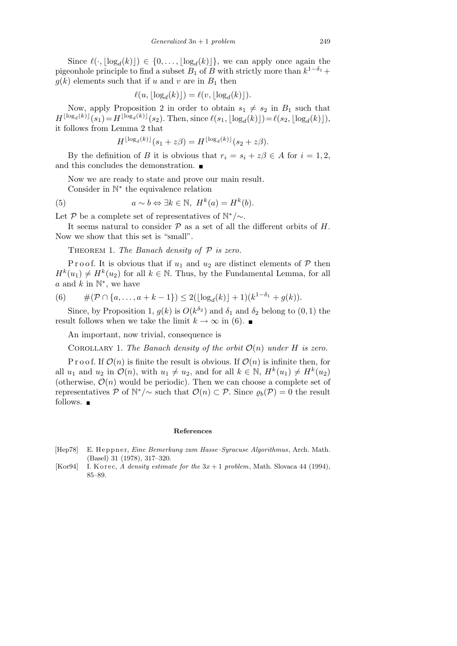Since  $\ell(\cdot, \lfloor \log_d(k) \rfloor) \in \{0, \ldots, \lfloor \log_d(k) \rfloor\}$ , we can apply once again the pigeonhole principle to find a subset  $B_1$  of  $B$  with strictly more than  $k^{1-\delta_1}$  +  $g(k)$  elements such that if *u* and *v* are in  $B_1$  then

$$
\ell(u, \lfloor \log_d(k) \rfloor) = \ell(v, \lfloor \log_d(k) \rfloor).
$$

Now, apply Proposition 2 in order to obtain  $s_1 \neq s_2$  in  $B_1$  such that  $H^{\lfloor \log_d(k) \rfloor}(s_1) = H^{\lfloor \log_d(k) \rfloor}(s_2)$ . Then, since  $\ell(s_1, \lfloor \log_d(k) \rfloor) = \ell(s_2, \lfloor \log_d(k) \rfloor)$ , it follows from Lemma 2 that

$$
H^{\lfloor \log_d(k) \rfloor}(s_1 + z\beta) = H^{\lfloor \log_d(k) \rfloor}(s_2 + z\beta).
$$

By the definition of *B* it is obvious that  $r_i = s_i + z\beta \in A$  for  $i = 1, 2$ , and this concludes the demonstration.

Now we are ready to state and prove our main result.

Consider in N *∗* the equivalence relation

(5) 
$$
a \sim b \Leftrightarrow \exists k \in \mathbb{N}, H^k(a) = H^k(b).
$$

Let  $P$  be a complete set of representatives of  $\mathbb{N}^*/\sim$ .

It seems natural to consider *P* as a set of all the different orbits of *H*. Now we show that this set is "small".

Theorem 1. *The Banach density of P is zero.*

Proof. It is obvious that if  $u_1$  and  $u_2$  are distinct elements of  $P$  then  $H^k(u_1) \neq H^k(u_2)$  for all  $k \in \mathbb{N}$ . Thus, by the Fundamental Lemma, for all  $a$  and  $k$  in  $\mathbb{N}^*$ , we have

(6) 
$$
\#(\mathcal{P}\cap \{a,\ldots,a+k-1\})\leq 2(\lfloor \log_d(k)\rfloor+1)(k^{1-\delta_1}+g(k)).
$$

Since, by Proposition 1,  $g(k)$  is  $O(k^{\delta_2})$  and  $\delta_1$  and  $\delta_2$  belong to  $(0, 1)$  the result follows when we take the limit  $k \to \infty$  in (6).

An important, now trivial, consequence is

COROLLARY 1. The Banach density of the orbit  $O(n)$  under *H* is zero.

P r o o f. If  $\mathcal{O}(n)$  is finite the result is obvious. If  $\mathcal{O}(n)$  is infinite then, for all  $u_1$  and  $u_2$  in  $\mathcal{O}(n)$ , with  $u_1 \neq u_2$ , and for all  $k \in \mathbb{N}$ ,  $H^k(u_1) \neq H^k(u_2)$ (otherwise,  $\mathcal{O}(n)$  would be periodic). Then we can choose a complete set of representatives  $P$  of  $\mathbb{N}^*/\sim$  such that  $\mathcal{O}(n) \subset P$ . Since  $\varrho_b(P) = 0$  the result follows.  $\blacksquare$ 

## **References**

- [Hep78] E. H e p p n e r, *Eine Bemerkung zum Hasse–Syracuse Algorithmus*, Arch. Math. (Basel) 31 (1978), 317–320.
- [Kor94] I. K or ec, *A* density estimate for the  $3x + 1$  problem, Math. Slovaca 44 (1994), 85–89.